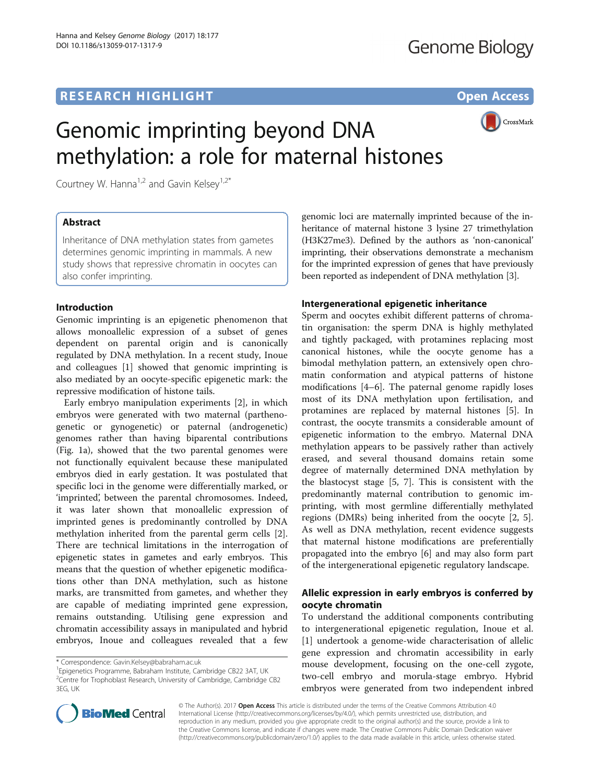# **RESEARCH HIGHLIGHT CONSUMING THE OPEN ACCESS**



# Genomic imprinting beyond DNA methylation: a role for maternal histones

Courtney W. Hanna<sup>1,2</sup> and Gavin Kelsey<sup>1,2\*</sup>

# Abstract

Inheritance of DNA methylation states from gametes determines genomic imprinting in mammals. A new study shows that repressive chromatin in oocytes can also confer imprinting.

## Introduction

Genomic imprinting is an epigenetic phenomenon that allows monoallelic expression of a subset of genes dependent on parental origin and is canonically regulated by DNA methylation. In a recent study, Inoue and colleagues [\[1](#page-3-0)] showed that genomic imprinting is also mediated by an oocyte-specific epigenetic mark: the repressive modification of histone tails.

Early embryo manipulation experiments [[2\]](#page-3-0), in which embryos were generated with two maternal (parthenogenetic or gynogenetic) or paternal (androgenetic) genomes rather than having biparental contributions (Fig. [1a](#page-1-0)), showed that the two parental genomes were not functionally equivalent because these manipulated embryos died in early gestation. It was postulated that specific loci in the genome were differentially marked, or 'imprinted', between the parental chromosomes. Indeed, it was later shown that monoallelic expression of imprinted genes is predominantly controlled by DNA methylation inherited from the parental germ cells [\[2](#page-3-0)]. There are technical limitations in the interrogation of epigenetic states in gametes and early embryos. This means that the question of whether epigenetic modifications other than DNA methylation, such as histone marks, are transmitted from gametes, and whether they are capable of mediating imprinted gene expression, remains outstanding. Utilising gene expression and chromatin accessibility assays in manipulated and hybrid embryos, Inoue and colleagues revealed that a few

<sup>1</sup> Epigenetics Programme, Babraham Institute, Cambridge CB22 3AT, UK <sup>2</sup>Centre for Trophoblast Research, University of Cambridge, Cambridge CB2 3EG, UK

genomic loci are maternally imprinted because of the inheritance of maternal histone 3 lysine 27 trimethylation (H3K27me3). Defined by the authors as 'non-canonical' imprinting, their observations demonstrate a mechanism for the imprinted expression of genes that have previously been reported as independent of DNA methylation [\[3](#page-3-0)].

## Intergenerational epigenetic inheritance

Sperm and oocytes exhibit different patterns of chromatin organisation: the sperm DNA is highly methylated and tightly packaged, with protamines replacing most canonical histones, while the oocyte genome has a bimodal methylation pattern, an extensively open chromatin conformation and atypical patterns of histone modifications [\[4](#page-3-0)–[6](#page-3-0)]. The paternal genome rapidly loses most of its DNA methylation upon fertilisation, and protamines are replaced by maternal histones [[5\]](#page-3-0). In contrast, the oocyte transmits a considerable amount of epigenetic information to the embryo. Maternal DNA methylation appears to be passively rather than actively erased, and several thousand domains retain some degree of maternally determined DNA methylation by the blastocyst stage [[5, 7\]](#page-3-0). This is consistent with the predominantly maternal contribution to genomic imprinting, with most germline differentially methylated regions (DMRs) being inherited from the oocyte [\[2](#page-3-0), [5](#page-3-0)]. As well as DNA methylation, recent evidence suggests that maternal histone modifications are preferentially propagated into the embryo [\[6\]](#page-3-0) and may also form part of the intergenerational epigenetic regulatory landscape.

# Allelic expression in early embryos is conferred by oocyte chromatin

To understand the additional components contributing to intergenerational epigenetic regulation, Inoue et al. [[1\]](#page-3-0) undertook a genome-wide characterisation of allelic gene expression and chromatin accessibility in early mouse development, focusing on the one-cell zygote, two-cell embryo and morula-stage embryo. Hybrid embryos were generated from two independent inbred



© The Author(s). 2017 Open Access This article is distributed under the terms of the Creative Commons Attribution 4.0 International License [\(http://creativecommons.org/licenses/by/4.0/](http://creativecommons.org/licenses/by/4.0/)), which permits unrestricted use, distribution, and reproduction in any medium, provided you give appropriate credit to the original author(s) and the source, provide a link to the Creative Commons license, and indicate if changes were made. The Creative Commons Public Domain Dedication waiver [\(http://creativecommons.org/publicdomain/zero/1.0/](http://creativecommons.org/publicdomain/zero/1.0/)) applies to the data made available in this article, unless otherwise stated.

<sup>\*</sup> Correspondence: [Gavin.Kelsey@babraham.ac.uk](mailto:Gavin.Kelsey@babraham.ac.uk) <sup>1</sup>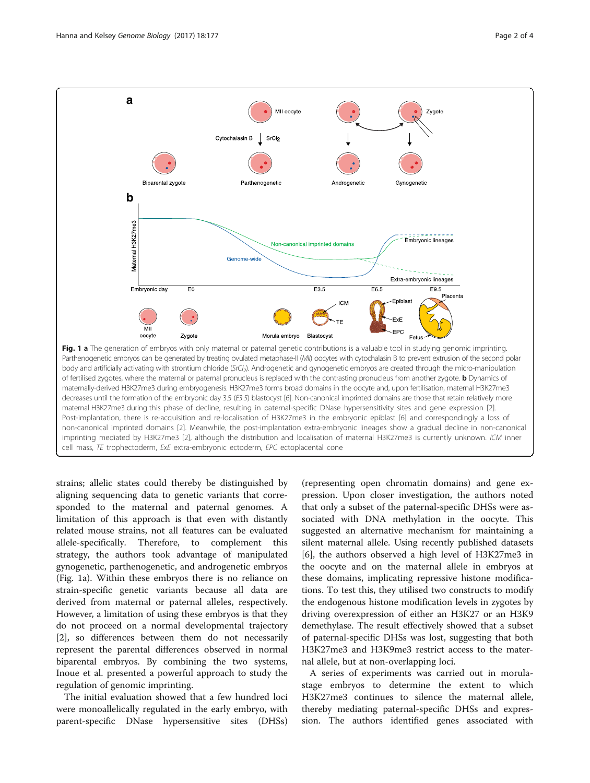<span id="page-1-0"></span>

strains; allelic states could thereby be distinguished by aligning sequencing data to genetic variants that corresponded to the maternal and paternal genomes. A limitation of this approach is that even with distantly related mouse strains, not all features can be evaluated allele-specifically. Therefore, to complement this strategy, the authors took advantage of manipulated gynogenetic, parthenogenetic, and androgenetic embryos (Fig. 1a). Within these embryos there is no reliance on strain-specific genetic variants because all data are derived from maternal or paternal alleles, respectively. However, a limitation of using these embryos is that they do not proceed on a normal developmental trajectory [[2\]](#page-3-0), so differences between them do not necessarily represent the parental differences observed in normal biparental embryos. By combining the two systems, Inoue et al. presented a powerful approach to study the regulation of genomic imprinting.

The initial evaluation showed that a few hundred loci were monoallelically regulated in the early embryo, with parent-specific DNase hypersensitive sites (DHSs)

(representing open chromatin domains) and gene expression. Upon closer investigation, the authors noted that only a subset of the paternal-specific DHSs were associated with DNA methylation in the oocyte. This suggested an alternative mechanism for maintaining a silent maternal allele. Using recently published datasets [[6\]](#page-3-0), the authors observed a high level of H3K27me3 in the oocyte and on the maternal allele in embryos at these domains, implicating repressive histone modifications. To test this, they utilised two constructs to modify the endogenous histone modification levels in zygotes by driving overexpression of either an H3K27 or an H3K9 demethylase. The result effectively showed that a subset of paternal-specific DHSs was lost, suggesting that both H3K27me3 and H3K9me3 restrict access to the maternal allele, but at non-overlapping loci.

A series of experiments was carried out in morulastage embryos to determine the extent to which H3K27me3 continues to silence the maternal allele, thereby mediating paternal-specific DHSs and expression. The authors identified genes associated with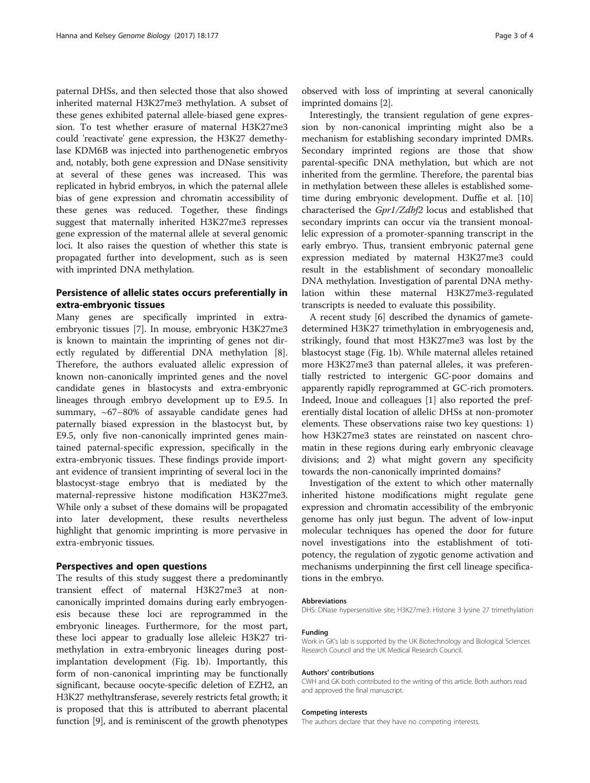paternal DHSs, and then selected those that also showed inherited maternal H3K27me3 methylation. A subset of these genes exhibited paternal allele-biased gene expression. To test whether erasure of maternal H3K27me3 could 'reactivate' gene expression, the H3K27 demethylase KDM6B was injected into parthenogenetic embryos and, notably, both gene expression and DNase sensitivity at several of these genes was increased. This was replicated in hybrid embryos, in which the paternal allele bias of gene expression and chromatin accessibility of these genes was reduced. Together, these findings suggest that maternally inherited H3K27me3 represses gene expression of the maternal allele at several genomic loci. It also raises the question of whether this state is propagated further into development, such as is seen with imprinted DNA methylation.

## Persistence of allelic states occurs preferentially in extra-embryonic tissues

Many genes are specifically imprinted in extraembryonic tissues [[7\]](#page-3-0). In mouse, embryonic H3K27me3 is known to maintain the imprinting of genes not directly regulated by differential DNA methylation [\[8](#page-3-0)]. Therefore, the authors evaluated allelic expression of known non-canonically imprinted genes and the novel candidate genes in blastocysts and extra-embryonic lineages through embryo development up to E9.5. In summary, ~67–80% of assayable candidate genes had paternally biased expression in the blastocyst but, by E9.5, only five non-canonically imprinted genes maintained paternal-specific expression, specifically in the extra-embryonic tissues. These findings provide important evidence of transient imprinting of several loci in the blastocyst-stage embryo that is mediated by the maternal-repressive histone modification H3K27me3. While only a subset of these domains will be propagated into later development, these results nevertheless highlight that genomic imprinting is more pervasive in extra-embryonic tissues.

### Perspectives and open questions

The results of this study suggest there a predominantly transient effect of maternal H3K27me3 at noncanonically imprinted domains during early embryogenesis because these loci are reprogrammed in the embryonic lineages. Furthermore, for the most part, these loci appear to gradually lose alleleic H3K27 trimethylation in extra-embryonic lineages during postimplantation development (Fig. [1b](#page-1-0)). Importantly, this form of non-canonical imprinting may be functionally significant, because oocyte-specific deletion of EZH2, an H3K27 methyltransferase, severely restricts fetal growth; it is proposed that this is attributed to aberrant placental function [\[9](#page-3-0)], and is reminiscent of the growth phenotypes

observed with loss of imprinting at several canonically imprinted domains [[2\]](#page-3-0).

Interestingly, the transient regulation of gene expression by non-canonical imprinting might also be a mechanism for establishing secondary imprinted DMRs. Secondary imprinted regions are those that show parental-specific DNA methylation, but which are not inherited from the germline. Therefore, the parental bias in methylation between these alleles is established sometime during embryonic development. Duffie et al. [[10](#page-3-0)] characterised the Gpr1/Zdbf2 locus and established that secondary imprints can occur via the transient monoallelic expression of a promoter-spanning transcript in the early embryo. Thus, transient embryonic paternal gene expression mediated by maternal H3K27me3 could result in the establishment of secondary monoallelic DNA methylation. Investigation of parental DNA methylation within these maternal H3K27me3-regulated transcripts is needed to evaluate this possibility.

A recent study [\[6](#page-3-0)] described the dynamics of gametedetermined H3K27 trimethylation in embryogenesis and, strikingly, found that most H3K27me3 was lost by the blastocyst stage (Fig. [1b](#page-1-0)). While maternal alleles retained more H3K27me3 than paternal alleles, it was preferentially restricted to intergenic GC-poor domains and apparently rapidly reprogrammed at GC-rich promoters. Indeed, Inoue and colleagues [[1\]](#page-3-0) also reported the preferentially distal location of allelic DHSs at non-promoter elements. These observations raise two key questions: 1) how H3K27me3 states are reinstated on nascent chromatin in these regions during early embryonic cleavage divisions; and 2) what might govern any specificity towards the non-canonically imprinted domains?

Investigation of the extent to which other maternally inherited histone modifications might regulate gene expression and chromatin accessibility of the embryonic genome has only just begun. The advent of low-input molecular techniques has opened the door for future novel investigations into the establishment of totipotency, the regulation of zygotic genome activation and mechanisms underpinning the first cell lineage specifications in the embryo.

#### Abbreviations

DHS: DNase hypersensitive site; H3K27me3: Histone 3 lysine 27 trimethylation

#### Funding

Work in GK's lab is supported by the UK Biotechnology and Biological Sciences Research Council and the UK Medical Research Council.

#### Authors' contributions

CWH and GK both contributed to the writing of this article. Both authors read and approved the final manuscript.

#### Competing interests

The authors declare that they have no competing interests.